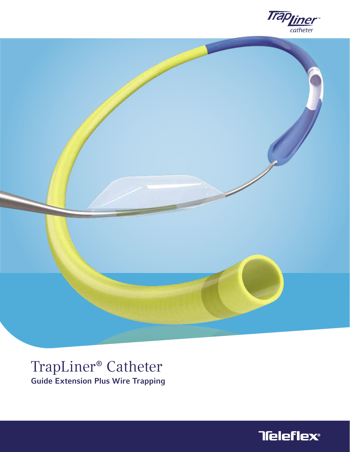



# TrapLiner® Catheter Guide Extension Plus Wire Trapping

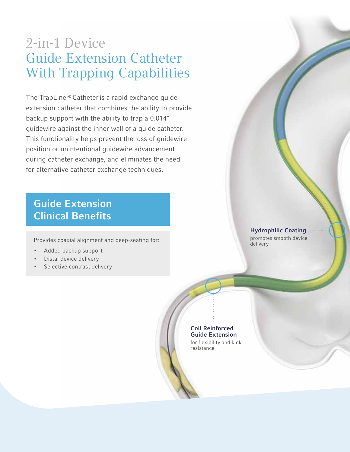# 2-in-1 Device Guide Extension Catheter With Trapping Capabilities

The TrapLiner® Catheteris a rapid exchange guide extension catheter that combines the ability to provide backup support with the ability to trap a 0.014" guidewire against the inner wall of a guide catheter. This functionality helps prevent the loss of guidewire position or unintentional guidewire advancement during catheter exchange, and eliminates the need for alternative catheter exchange techniques.

### Guide Extension Clinical Benefits

Provides coaxial alignment and deep-seating for:

- Added backup support
- Distal device delivery
- Selective contrast delivery

Hydrophilic Coating

promotes smooth device delivery

### Coil Reinforced Guide Extension

for flexibility and kink resistance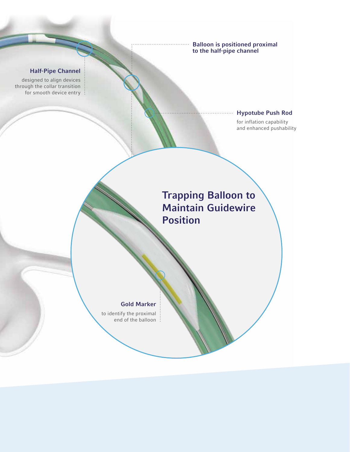Balloon is positioned proximal to the half-pipe channel

### Half-Pipe Channel

designed to align devices through the collar transition for smooth device entry :

### Hypotube Push Rod

for inflation capability and enhanced pushability

### Trapping Balloon to Maintain Guidewire Position

### Gold Marker

to identify the proximal end of the balloon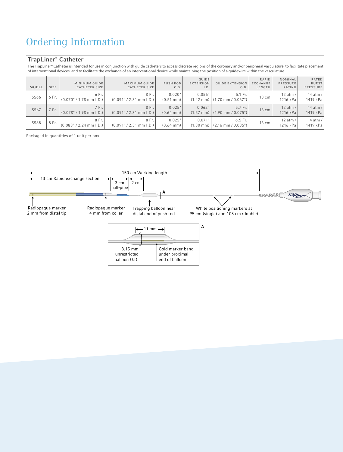## Ordering Information

### TrapLiner® Catheter

The TrapLiner® Catheter is intended for use in conjunction with guide catheters to access discrete regions of the coronary and/or peripheral vasculature, to facilitate placement of interventional devices, and to facilitate the exchange of an interventional device while maintaining the position of a guidewire within the vasculature.  $2^m$ 

| MODEL | SIZE  | MINIMUM GUIDE<br><b>CATHETER SIZE</b> | <b>MAXIMUM GUIDE</b><br><b>CATHETER SIZE</b> | <b>PUSH ROD</b><br>O.D.       | <b>GUIDE</b><br><b>EXTENSION</b><br>I.D. | <b>GUIDE EXTENSION</b><br>0.D.                    | RAPID<br>EXCHANGE<br>LENGTH | NOMINAL<br>PRESSURE<br>RATING     | RATED<br><b>BURST</b><br>PRESSURE |
|-------|-------|---------------------------------------|----------------------------------------------|-------------------------------|------------------------------------------|---------------------------------------------------|-----------------------------|-----------------------------------|-----------------------------------|
| 5566  | 6 Fr. | 6 Fr.<br>$(0.070" / 1.78$ mm I.D.)    | 8 Fr.<br>$(0.091" / 2.31$ mm I.D.)           | 0.020"<br>$(0.51 \text{ mm})$ | 0.056"<br>$(1.42 \text{ mm})$            | 5.1 Fr.<br>$(1.70 \text{ mm} / 0.067$ ")          | 13 cm                       | $12$ atm<br>1216 kPa              | 14 atm /<br>1419 kPa              |
| 5567  | 7 Fr. | 7 Fr.<br>$(0.078" / 1.98$ mm I.D.)    | 8 Fr.<br>$(0.091" / 2.31$ mm I.D.)           | 0.025"<br>$(0.64 \text{ mm})$ | 0.062"                                   | 5.7 Fr.<br>$(1.57 \text{ mm})$ (1.90 mm / 0.075") | $13 \text{ cm}$             | 12 atm $/$<br>1216 kPa            | 14 $atm/$<br>1419 kPa             |
| 5568  | 8 Fr. | 8 Fr.<br>$(0.088" / 2.24$ mm I.D.)    | 8 Fr.<br>$(0.091" / 2.31$ mm I.D.)           | 0.025"<br>$(0.64 \text{ mm})$ | 0.071'<br>$(1.80 \text{ mm})$            | $6.5$ Fr.<br>$(2.16 \text{ mm} / 0.085$ ")        | 13 cm                       | 12 atm $\overline{a}$<br>1216 kPa | 14 atm /<br>1419 kPa              |

Packaged in quantities of 1 unit per box.

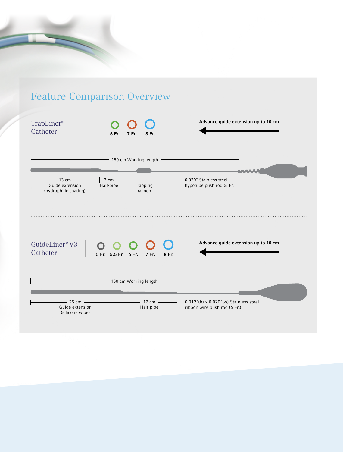